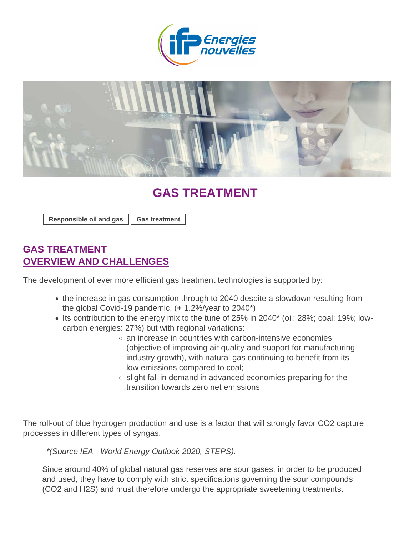## GAS TREATMENT

[Responsible oil and gas](https://www.ifpenergiesnouvelles.com/tags/responsible-oil-and-gas) | [Gas treatment](https://www.ifpenergiesnouvelles.com/tags/gas-treatment)

## GAS TREATMENT OVERVIEW AND CHALLENGES

The development of ever more efficient gas treatment technologies is supported by:

- the increase in gas consumption through to 2040 despite a slowdown resulting from the global Covid-19 pandemic, (+ 1.2%/year to 2040\*)
- Its contribution to the energy mix to the tune of  $25\%$  in  $2040^*$  (oil:  $28\%$ ; coal: 19%; lowcarbon energies: 27%) but with regional variations:
	- $\circ$  an increase in countries with carbon-intensive economies (objective of improving air quality and support for manufacturing industry growth), with natural gas continuing to benefit from its low emissions compared to coal;
	- $\circ$  slight fall in demand in advanced economies preparing for the transition towards zero net emissions

The roll-out of blue hydrogen production and use is a factor that will strongly favor CO2 capture processes in different types of syngas.

\*(Source IEA - World Energy Outlook 2020, STEPS).

Since around 40% of global natural gas reserves are sour gases, in order to be produced and used, they have to comply with strict specifications governing the sour compounds (CO2 and H2S) and must therefore undergo the appropriate sweetening treatments.